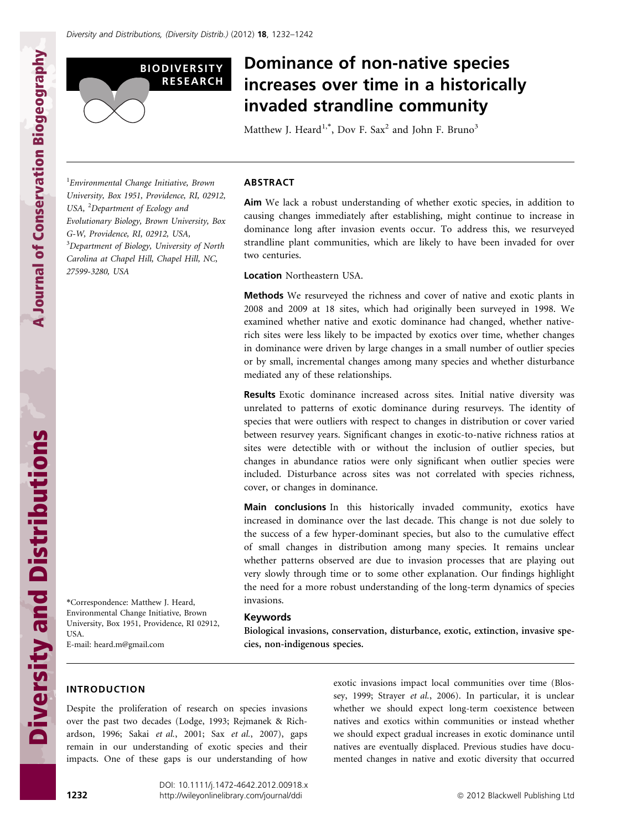

# Dominance of non-native species increases over time in a historically invaded strandline community

Matthew J. Heard<sup>1,\*</sup>, Dov F. Sax<sup>2</sup> and John F. Bruno<sup>3</sup>

1 Environmental Change Initiative, Brown University, Box 1951, Providence, RI, 02912, USA, <sup>2</sup>Department of Ecology and Evolutionary Biology, Brown University, Box G-W, Providence, RI, 02912, USA, <sup>3</sup>Department of Biology, University of North Carolina at Chapel Hill, Chapel Hill, NC, 27599-3280, USA

#### ABSTRACT

Aim We lack a robust understanding of whether exotic species, in addition to causing changes immediately after establishing, might continue to increase in dominance long after invasion events occur. To address this, we resurveyed strandline plant communities, which are likely to have been invaded for over two centuries.

Location Northeastern USA.

Methods We resurveyed the richness and cover of native and exotic plants in 2008 and 2009 at 18 sites, which had originally been surveyed in 1998. We examined whether native and exotic dominance had changed, whether nativerich sites were less likely to be impacted by exotics over time, whether changes in dominance were driven by large changes in a small number of outlier species or by small, incremental changes among many species and whether disturbance mediated any of these relationships.

Results Exotic dominance increased across sites. Initial native diversity was unrelated to patterns of exotic dominance during resurveys. The identity of species that were outliers with respect to changes in distribution or cover varied between resurvey years. Significant changes in exotic-to-native richness ratios at sites were detectible with or without the inclusion of outlier species, but changes in abundance ratios were only significant when outlier species were included. Disturbance across sites was not correlated with species richness, cover, or changes in dominance.

Main conclusions In this historically invaded community, exotics have increased in dominance over the last decade. This change is not due solely to the success of a few hyper-dominant species, but also to the cumulative effect of small changes in distribution among many species. It remains unclear whether patterns observed are due to invasion processes that are playing out very slowly through time or to some other explanation. Our findings highlight the need for a more robust understanding of the long-term dynamics of species invasions.

#### Keywords

Biological invasions, conservation, disturbance, exotic, extinction, invasive species, non-indigenous species.

Diversity and Distributions Diversity and Distributions

A Journal of Conservation Biogeography

A Journal of Conservation Biogeography

\*Correspondence: Matthew J. Heard, Environmental Change Initiative, Brown University, Box 1951, Providence, RI 02912, USA. E-mail: heard.m@gmail.com

#### INTRODUCTION

Despite the proliferation of research on species invasions over the past two decades (Lodge, 1993; Rejmanek & Richardson, 1996; Sakai et al., 2001; Sax et al., 2007), gaps remain in our understanding of exotic species and their impacts. One of these gaps is our understanding of how exotic invasions impact local communities over time (Blossey, 1999; Strayer et al., 2006). In particular, it is unclear whether we should expect long-term coexistence between natives and exotics within communities or instead whether we should expect gradual increases in exotic dominance until natives are eventually displaced. Previous studies have documented changes in native and exotic diversity that occurred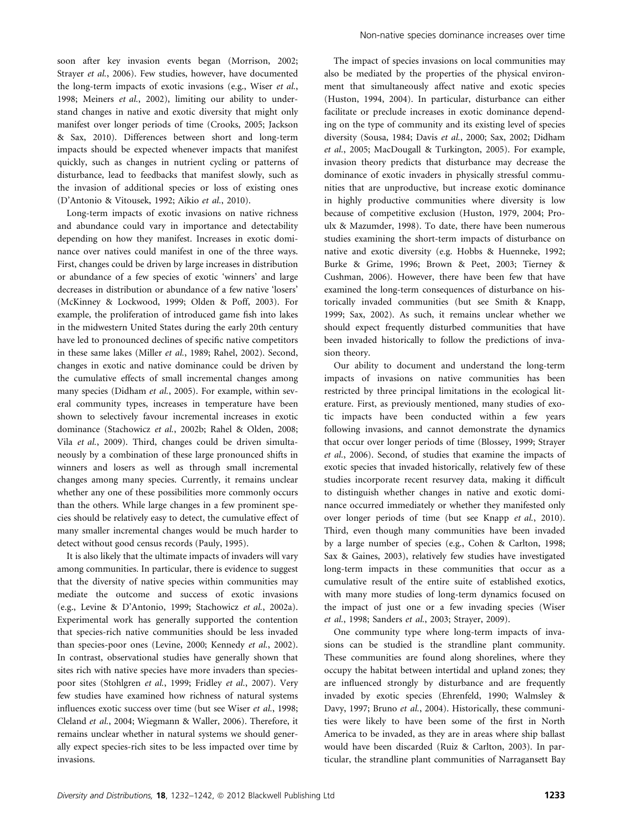soon after key invasion events began (Morrison, 2002; Strayer et al., 2006). Few studies, however, have documented the long-term impacts of exotic invasions (e.g., Wiser et al., 1998; Meiners et al., 2002), limiting our ability to understand changes in native and exotic diversity that might only manifest over longer periods of time (Crooks, 2005; Jackson & Sax, 2010). Differences between short and long-term impacts should be expected whenever impacts that manifest quickly, such as changes in nutrient cycling or patterns of disturbance, lead to feedbacks that manifest slowly, such as the invasion of additional species or loss of existing ones (D'Antonio & Vitousek, 1992; Aikio et al., 2010).

Long-term impacts of exotic invasions on native richness and abundance could vary in importance and detectability depending on how they manifest. Increases in exotic dominance over natives could manifest in one of the three ways. First, changes could be driven by large increases in distribution or abundance of a few species of exotic 'winners' and large decreases in distribution or abundance of a few native 'losers' (McKinney & Lockwood, 1999; Olden & Poff, 2003). For example, the proliferation of introduced game fish into lakes in the midwestern United States during the early 20th century have led to pronounced declines of specific native competitors in these same lakes (Miller et al., 1989; Rahel, 2002). Second, changes in exotic and native dominance could be driven by the cumulative effects of small incremental changes among many species (Didham et al., 2005). For example, within several community types, increases in temperature have been shown to selectively favour incremental increases in exotic dominance (Stachowicz et al., 2002b; Rahel & Olden, 2008; Vila et al., 2009). Third, changes could be driven simultaneously by a combination of these large pronounced shifts in winners and losers as well as through small incremental changes among many species. Currently, it remains unclear whether any one of these possibilities more commonly occurs than the others. While large changes in a few prominent species should be relatively easy to detect, the cumulative effect of many smaller incremental changes would be much harder to detect without good census records (Pauly, 1995).

It is also likely that the ultimate impacts of invaders will vary among communities. In particular, there is evidence to suggest that the diversity of native species within communities may mediate the outcome and success of exotic invasions (e.g., Levine & D'Antonio, 1999; Stachowicz et al., 2002a). Experimental work has generally supported the contention that species-rich native communities should be less invaded than species-poor ones (Levine, 2000; Kennedy et al., 2002). In contrast, observational studies have generally shown that sites rich with native species have more invaders than speciespoor sites (Stohlgren et al., 1999; Fridley et al., 2007). Very few studies have examined how richness of natural systems influences exotic success over time (but see Wiser et al., 1998; Cleland et al., 2004; Wiegmann & Waller, 2006). Therefore, it remains unclear whether in natural systems we should generally expect species-rich sites to be less impacted over time by invasions.

The impact of species invasions on local communities may also be mediated by the properties of the physical environment that simultaneously affect native and exotic species (Huston, 1994, 2004). In particular, disturbance can either facilitate or preclude increases in exotic dominance depending on the type of community and its existing level of species diversity (Sousa, 1984; Davis et al., 2000; Sax, 2002; Didham et al., 2005; MacDougall & Turkington, 2005). For example, invasion theory predicts that disturbance may decrease the dominance of exotic invaders in physically stressful communities that are unproductive, but increase exotic dominance in highly productive communities where diversity is low because of competitive exclusion (Huston, 1979, 2004; Proulx & Mazumder, 1998). To date, there have been numerous studies examining the short-term impacts of disturbance on native and exotic diversity (e.g. Hobbs & Huenneke, 1992; Burke & Grime, 1996; Brown & Peet, 2003; Tierney & Cushman, 2006). However, there have been few that have examined the long-term consequences of disturbance on historically invaded communities (but see Smith & Knapp, 1999; Sax, 2002). As such, it remains unclear whether we should expect frequently disturbed communities that have been invaded historically to follow the predictions of invasion theory.

Our ability to document and understand the long-term impacts of invasions on native communities has been restricted by three principal limitations in the ecological literature. First, as previously mentioned, many studies of exotic impacts have been conducted within a few years following invasions, and cannot demonstrate the dynamics that occur over longer periods of time (Blossey, 1999; Strayer et al., 2006). Second, of studies that examine the impacts of exotic species that invaded historically, relatively few of these studies incorporate recent resurvey data, making it difficult to distinguish whether changes in native and exotic dominance occurred immediately or whether they manifested only over longer periods of time (but see Knapp et al., 2010). Third, even though many communities have been invaded by a large number of species (e.g., Cohen & Carlton, 1998; Sax & Gaines, 2003), relatively few studies have investigated long-term impacts in these communities that occur as a cumulative result of the entire suite of established exotics, with many more studies of long-term dynamics focused on the impact of just one or a few invading species (Wiser et al., 1998; Sanders et al., 2003; Strayer, 2009).

One community type where long-term impacts of invasions can be studied is the strandline plant community. These communities are found along shorelines, where they occupy the habitat between intertidal and upland zones; they are influenced strongly by disturbance and are frequently invaded by exotic species (Ehrenfeld, 1990; Walmsley & Davy, 1997; Bruno et al., 2004). Historically, these communities were likely to have been some of the first in North America to be invaded, as they are in areas where ship ballast would have been discarded (Ruiz & Carlton, 2003). In particular, the strandline plant communities of Narragansett Bay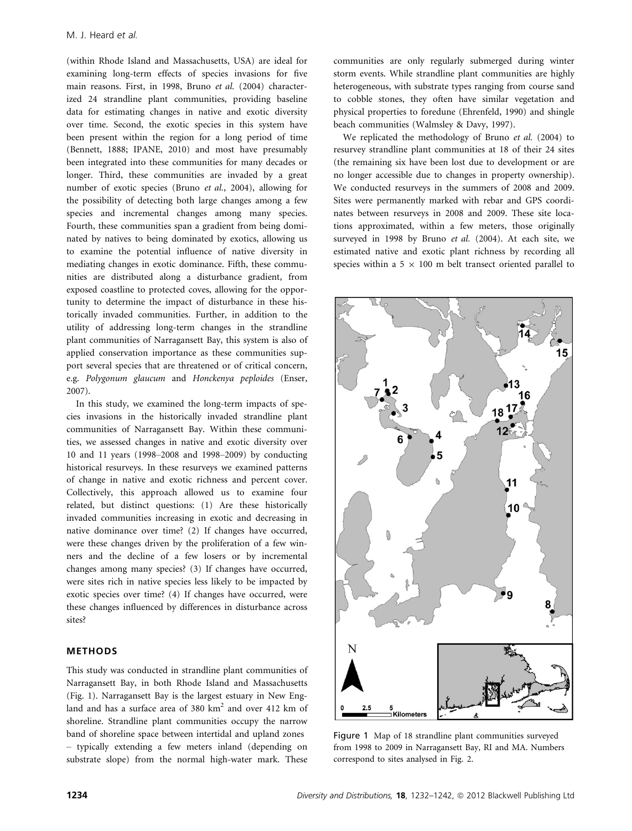(within Rhode Island and Massachusetts, USA) are ideal for examining long-term effects of species invasions for five main reasons. First, in 1998, Bruno et al. (2004) characterized 24 strandline plant communities, providing baseline data for estimating changes in native and exotic diversity over time. Second, the exotic species in this system have been present within the region for a long period of time (Bennett, 1888; IPANE, 2010) and most have presumably been integrated into these communities for many decades or longer. Third, these communities are invaded by a great number of exotic species (Bruno et al., 2004), allowing for the possibility of detecting both large changes among a few species and incremental changes among many species. Fourth, these communities span a gradient from being dominated by natives to being dominated by exotics, allowing us to examine the potential influence of native diversity in mediating changes in exotic dominance. Fifth, these communities are distributed along a disturbance gradient, from exposed coastline to protected coves, allowing for the opportunity to determine the impact of disturbance in these historically invaded communities. Further, in addition to the utility of addressing long-term changes in the strandline plant communities of Narragansett Bay, this system is also of applied conservation importance as these communities support several species that are threatened or of critical concern, e.g. Polygonum glaucum and Honckenya peploides (Enser, 2007).

In this study, we examined the long-term impacts of species invasions in the historically invaded strandline plant communities of Narragansett Bay. Within these communities, we assessed changes in native and exotic diversity over 10 and 11 years (1998–2008 and 1998–2009) by conducting historical resurveys. In these resurveys we examined patterns of change in native and exotic richness and percent cover. Collectively, this approach allowed us to examine four related, but distinct questions: (1) Are these historically invaded communities increasing in exotic and decreasing in native dominance over time? (2) If changes have occurred, were these changes driven by the proliferation of a few winners and the decline of a few losers or by incremental changes among many species? (3) If changes have occurred, were sites rich in native species less likely to be impacted by exotic species over time? (4) If changes have occurred, were these changes influenced by differences in disturbance across sites?

#### METHODS

This study was conducted in strandline plant communities of Narragansett Bay, in both Rhode Island and Massachusetts (Fig. 1). Narragansett Bay is the largest estuary in New England and has a surface area of 380 km<sup>2</sup> and over 412 km of shoreline. Strandline plant communities occupy the narrow band of shoreline space between intertidal and upland zones – typically extending a few meters inland (depending on substrate slope) from the normal high-water mark. These

communities are only regularly submerged during winter storm events. While strandline plant communities are highly heterogeneous, with substrate types ranging from course sand to cobble stones, they often have similar vegetation and physical properties to foredune (Ehrenfeld, 1990) and shingle beach communities (Walmsley & Davy, 1997).

We replicated the methodology of Bruno et al. (2004) to resurvey strandline plant communities at 18 of their 24 sites (the remaining six have been lost due to development or are no longer accessible due to changes in property ownership). We conducted resurveys in the summers of 2008 and 2009. Sites were permanently marked with rebar and GPS coordinates between resurveys in 2008 and 2009. These site locations approximated, within a few meters, those originally surveyed in 1998 by Bruno et al. (2004). At each site, we estimated native and exotic plant richness by recording all species within a 5  $\times$  100 m belt transect oriented parallel to



Figure 1 Map of 18 strandline plant communities surveyed from 1998 to 2009 in Narragansett Bay, RI and MA. Numbers correspond to sites analysed in Fig. 2.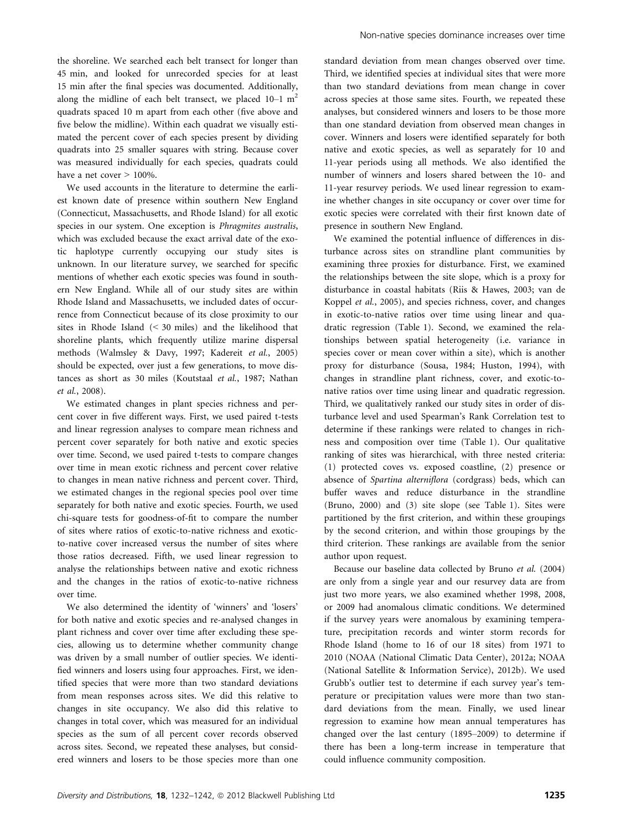the shoreline. We searched each belt transect for longer than 45 min, and looked for unrecorded species for at least 15 min after the final species was documented. Additionally, along the midline of each belt transect, we placed  $10-1$  m<sup>2</sup> quadrats spaced 10 m apart from each other (five above and five below the midline). Within each quadrat we visually estimated the percent cover of each species present by dividing quadrats into 25 smaller squares with string. Because cover was measured individually for each species, quadrats could have a net cover  $> 100\%$ .

We used accounts in the literature to determine the earliest known date of presence within southern New England (Connecticut, Massachusetts, and Rhode Island) for all exotic species in our system. One exception is Phragmites australis, which was excluded because the exact arrival date of the exotic haplotype currently occupying our study sites is unknown. In our literature survey, we searched for specific mentions of whether each exotic species was found in southern New England. While all of our study sites are within Rhode Island and Massachusetts, we included dates of occurrence from Connecticut because of its close proximity to our sites in Rhode Island (< 30 miles) and the likelihood that shoreline plants, which frequently utilize marine dispersal methods (Walmsley & Davy, 1997; Kadereit et al., 2005) should be expected, over just a few generations, to move distances as short as 30 miles (Koutstaal et al., 1987; Nathan et al., 2008).

We estimated changes in plant species richness and percent cover in five different ways. First, we used paired t-tests and linear regression analyses to compare mean richness and percent cover separately for both native and exotic species over time. Second, we used paired t-tests to compare changes over time in mean exotic richness and percent cover relative to changes in mean native richness and percent cover. Third, we estimated changes in the regional species pool over time separately for both native and exotic species. Fourth, we used chi-square tests for goodness-of-fit to compare the number of sites where ratios of exotic-to-native richness and exoticto-native cover increased versus the number of sites where those ratios decreased. Fifth, we used linear regression to analyse the relationships between native and exotic richness and the changes in the ratios of exotic-to-native richness over time.

We also determined the identity of 'winners' and 'losers' for both native and exotic species and re-analysed changes in plant richness and cover over time after excluding these species, allowing us to determine whether community change was driven by a small number of outlier species. We identified winners and losers using four approaches. First, we identified species that were more than two standard deviations from mean responses across sites. We did this relative to changes in site occupancy. We also did this relative to changes in total cover, which was measured for an individual species as the sum of all percent cover records observed across sites. Second, we repeated these analyses, but considered winners and losers to be those species more than one standard deviation from mean changes observed over time. Third, we identified species at individual sites that were more than two standard deviations from mean change in cover across species at those same sites. Fourth, we repeated these analyses, but considered winners and losers to be those more than one standard deviation from observed mean changes in cover. Winners and losers were identified separately for both native and exotic species, as well as separately for 10 and 11-year periods using all methods. We also identified the number of winners and losers shared between the 10- and 11-year resurvey periods. We used linear regression to examine whether changes in site occupancy or cover over time for exotic species were correlated with their first known date of presence in southern New England.

We examined the potential influence of differences in disturbance across sites on strandline plant communities by examining three proxies for disturbance. First, we examined the relationships between the site slope, which is a proxy for disturbance in coastal habitats (Riis & Hawes, 2003; van de Koppel et al., 2005), and species richness, cover, and changes in exotic-to-native ratios over time using linear and quadratic regression (Table 1). Second, we examined the relationships between spatial heterogeneity (i.e. variance in species cover or mean cover within a site), which is another proxy for disturbance (Sousa, 1984; Huston, 1994), with changes in strandline plant richness, cover, and exotic-tonative ratios over time using linear and quadratic regression. Third, we qualitatively ranked our study sites in order of disturbance level and used Spearman's Rank Correlation test to determine if these rankings were related to changes in richness and composition over time (Table 1). Our qualitative ranking of sites was hierarchical, with three nested criteria: (1) protected coves vs. exposed coastline, (2) presence or absence of Spartina alterniflora (cordgrass) beds, which can buffer waves and reduce disturbance in the strandline (Bruno, 2000) and (3) site slope (see Table 1). Sites were partitioned by the first criterion, and within these groupings by the second criterion, and within those groupings by the third criterion. These rankings are available from the senior author upon request.

Because our baseline data collected by Bruno et al. (2004) are only from a single year and our resurvey data are from just two more years, we also examined whether 1998, 2008, or 2009 had anomalous climatic conditions. We determined if the survey years were anomalous by examining temperature, precipitation records and winter storm records for Rhode Island (home to 16 of our 18 sites) from 1971 to 2010 (NOAA (National Climatic Data Center), 2012a; NOAA (National Satellite & Information Service), 2012b). We used Grubb's outlier test to determine if each survey year's temperature or precipitation values were more than two standard deviations from the mean. Finally, we used linear regression to examine how mean annual temperatures has changed over the last century (1895–2009) to determine if there has been a long-term increase in temperature that could influence community composition.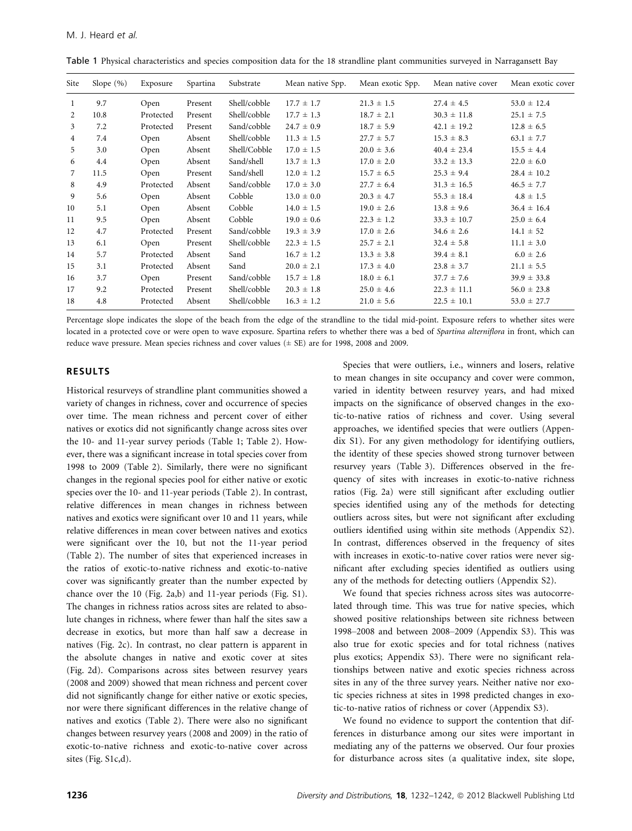| Table 1 Physical characteristics and species composition data for the 18 strandline plant communities surveyed in Narragansett Bay |  |  |  |  |  |  |
|------------------------------------------------------------------------------------------------------------------------------------|--|--|--|--|--|--|
|                                                                                                                                    |  |  |  |  |  |  |

| Site           | Slope $(\% )$ | Exposure  | Spartina | Substrate    | Mean native Spp. | Mean exotic Spp. | Mean native cover | Mean exotic cover |
|----------------|---------------|-----------|----------|--------------|------------------|------------------|-------------------|-------------------|
| 1              | 9.7           | Open      | Present  | Shell/cobble | $17.7 \pm 1.7$   | $21.3 \pm 1.5$   | $27.4 \pm 4.5$    | $53.0 \pm 12.4$   |
| 2              | 10.8          | Protected | Present  | Shell/cobble | $17.7 \pm 1.3$   | $18.7 \pm 2.1$   | $30.3 \pm 11.8$   | $25.1 \pm 7.5$    |
| 3              | 7.2           | Protected | Present  | Sand/cobble  | $24.7 \pm 0.9$   | $18.7 \pm 5.9$   | $42.1 \pm 19.2$   | $12.8 \pm 6.5$    |
| $\overline{4}$ | 7.4           | Open      | Absent   | Shell/cobble | $11.3 \pm 1.5$   | $27.7 \pm 5.7$   | $15.3 \pm 8.3$    | $63.1 \pm 7.7$    |
| 5              | 3.0           | Open      | Absent   | Shell/Cobble | $17.0 \pm 1.5$   | $20.0 \pm 3.6$   | $40.4 \pm 23.4$   | $15.5 \pm 4.4$    |
| 6              | 4.4           | Open      | Absent   | Sand/shell   | $13.7 \pm 1.3$   | $17.0 \pm 2.0$   | $33.2 \pm 13.3$   | $22.0 \pm 6.0$    |
| 7              | 11.5          | Open      | Present  | Sand/shell   | $12.0 \pm 1.2$   | $15.7 \pm 6.5$   | $25.3 \pm 9.4$    | $28.4 \pm 10.2$   |
| 8              | 4.9           | Protected | Absent   | Sand/cobble  | $17.0 \pm 3.0$   | $27.7 \pm 6.4$   | $31.3 \pm 16.5$   | $46.5 \pm 7.7$    |
| 9              | 5.6           | Open      | Absent   | Cobble       | $13.0 \pm 0.0$   | $20.3 \pm 4.7$   | $55.3 \pm 18.4$   | $4.8 \pm 1.5$     |
| 10             | 5.1           | Open      | Absent   | Cobble       | $14.0 \pm 1.5$   | $19.0 \pm 2.6$   | $13.8 \pm 9.6$    | $36.4 \pm 16.4$   |
| 11             | 9.5           | Open      | Absent   | Cobble       | $19.0 \pm 0.6$   | $22.3 \pm 1.2$   | $33.3 \pm 10.7$   | $25.0 \pm 6.4$    |
| 12             | 4.7           | Protected | Present  | Sand/cobble  | $19.3 \pm 3.9$   | $17.0 \pm 2.6$   | $34.6 \pm 2.6$    | $14.1 \pm 52$     |
| 13             | 6.1           | Open      | Present  | Shell/cobble | $22.3 \pm 1.5$   | $25.7 \pm 2.1$   | $32.4 \pm 5.8$    | $11.1 \pm 3.0$    |
| 14             | 5.7           | Protected | Absent   | Sand         | $16.7 \pm 1.2$   | $13.3 \pm 3.8$   | $39.4 \pm 8.1$    | $6.0 \pm 2.6$     |
| 15             | 3.1           | Protected | Absent   | Sand         | $20.0 \pm 2.1$   | $17.3 \pm 4.0$   | $23.8 \pm 3.7$    | $21.1 \pm 5.5$    |
| 16             | 3.7           | Open      | Present  | Sand/cobble  | $15.7 \pm 1.8$   | $18.0 \pm 6.1$   | $37.7 \pm 7.6$    | $39.9 \pm 33.8$   |
| 17             | 9.2           | Protected | Present  | Shell/cobble | $20.3 \pm 1.8$   | $25.0 \pm 4.6$   | $22.3 \pm 11.1$   | $56.0 \pm 23.8$   |
| 18             | 4.8           | Protected | Absent   | Shell/cobble | $16.3 \pm 1.2$   | $21.0 \pm 5.6$   | $22.5 \pm 10.1$   | $53.0 \pm 27.7$   |

Percentage slope indicates the slope of the beach from the edge of the strandline to the tidal mid-point. Exposure refers to whether sites were located in a protected cove or were open to wave exposure. Spartina refers to whether there was a bed of Spartina alterniflora in front, which can reduce wave pressure. Mean species richness and cover values (± SE) are for 1998, 2008 and 2009.

#### RESULTS

Historical resurveys of strandline plant communities showed a variety of changes in richness, cover and occurrence of species over time. The mean richness and percent cover of either natives or exotics did not significantly change across sites over the 10- and 11-year survey periods (Table 1; Table 2). However, there was a significant increase in total species cover from 1998 to 2009 (Table 2). Similarly, there were no significant changes in the regional species pool for either native or exotic species over the 10- and 11-year periods (Table 2). In contrast, relative differences in mean changes in richness between natives and exotics were significant over 10 and 11 years, while relative differences in mean cover between natives and exotics were significant over the 10, but not the 11-year period (Table 2). The number of sites that experienced increases in the ratios of exotic-to-native richness and exotic-to-native cover was significantly greater than the number expected by chance over the 10 (Fig. 2a,b) and 11-year periods (Fig. S1). The changes in richness ratios across sites are related to absolute changes in richness, where fewer than half the sites saw a decrease in exotics, but more than half saw a decrease in natives (Fig. 2c). In contrast, no clear pattern is apparent in the absolute changes in native and exotic cover at sites (Fig. 2d). Comparisons across sites between resurvey years (2008 and 2009) showed that mean richness and percent cover did not significantly change for either native or exotic species, nor were there significant differences in the relative change of natives and exotics (Table 2). There were also no significant changes between resurvey years (2008 and 2009) in the ratio of exotic-to-native richness and exotic-to-native cover across sites (Fig. S1c,d).

Species that were outliers, i.e., winners and losers, relative to mean changes in site occupancy and cover were common, varied in identity between resurvey years, and had mixed impacts on the significance of observed changes in the exotic-to-native ratios of richness and cover. Using several approaches, we identified species that were outliers (Appendix S1). For any given methodology for identifying outliers, the identity of these species showed strong turnover between resurvey years (Table 3). Differences observed in the frequency of sites with increases in exotic-to-native richness ratios (Fig. 2a) were still significant after excluding outlier species identified using any of the methods for detecting outliers across sites, but were not significant after excluding outliers identified using within site methods (Appendix S2). In contrast, differences observed in the frequency of sites with increases in exotic-to-native cover ratios were never significant after excluding species identified as outliers using any of the methods for detecting outliers (Appendix S2).

We found that species richness across sites was autocorrelated through time. This was true for native species, which showed positive relationships between site richness between 1998–2008 and between 2008–2009 (Appendix S3). This was also true for exotic species and for total richness (natives plus exotics; Appendix S3). There were no significant relationships between native and exotic species richness across sites in any of the three survey years. Neither native nor exotic species richness at sites in 1998 predicted changes in exotic-to-native ratios of richness or cover (Appendix S3).

We found no evidence to support the contention that differences in disturbance among our sites were important in mediating any of the patterns we observed. Our four proxies for disturbance across sites (a qualitative index, site slope,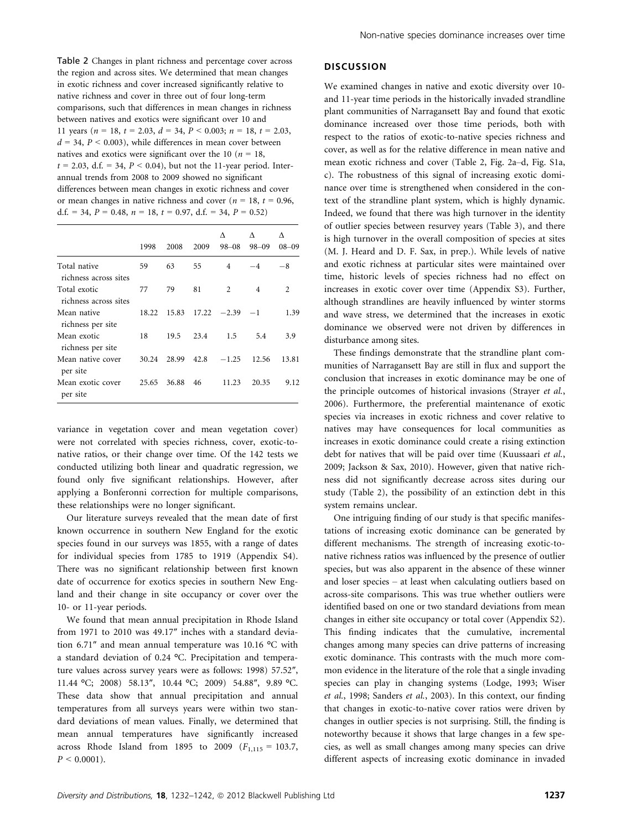Table 2 Changes in plant richness and percentage cover across the region and across sites. We determined that mean changes in exotic richness and cover increased significantly relative to native richness and cover in three out of four long-term comparisons, such that differences in mean changes in richness between natives and exotics were significant over 10 and 11 years ( $n = 18$ ,  $t = 2.03$ ,  $d = 34$ ,  $P < 0.003$ ;  $n = 18$ ,  $t = 2.03$ ,  $d = 34$ ,  $P < 0.003$ ), while differences in mean cover between natives and exotics were significant over the 10 ( $n = 18$ ,  $t = 2.03$ , d.f. = 34,  $P < 0.04$ ), but not the 11-year period. Interannual trends from 2008 to 2009 showed no significant differences between mean changes in exotic richness and cover or mean changes in native richness and cover ( $n = 18$ ,  $t = 0.96$ , d.f. = 34,  $P = 0.48$ ,  $n = 18$ ,  $t = 0.97$ , d.f. = 34,  $P = 0.52$ )

|                                       | 1998  | 2008  | 2009  | Λ<br>$98 - 08$ | Λ<br>$98 - 09$ | Λ<br>$08 - 09$ |
|---------------------------------------|-------|-------|-------|----------------|----------------|----------------|
| Total native<br>richness across sites | 59    | 63    | 55    | 4              | $-4$           | $-8$           |
| Total exotic<br>richness across sites | 77    | 79    | 81    | 2              | 4              | 2              |
| Mean native<br>richness per site      | 18.22 | 15.83 | 17.22 | $-2.39$        | $-1$           | 1.39           |
| Mean exotic<br>richness per site      | 18    | 19.5  | 23.4  | -1.5           | 5.4            | 3.9            |
| Mean native cover<br>per site         | 30.24 | 28.99 | 42.8  | $-1.25$        | 12.56          | 13.81          |
| Mean exotic cover<br>per site         | 25.65 | 36.88 | 46    | 11.23          | 20.35          | 9.12           |

variance in vegetation cover and mean vegetation cover) were not correlated with species richness, cover, exotic-tonative ratios, or their change over time. Of the 142 tests we conducted utilizing both linear and quadratic regression, we found only five significant relationships. However, after applying a Bonferonni correction for multiple comparisons, these relationships were no longer significant.

Our literature surveys revealed that the mean date of first known occurrence in southern New England for the exotic species found in our surveys was 1855, with a range of dates for individual species from 1785 to 1919 (Appendix S4). There was no significant relationship between first known date of occurrence for exotics species in southern New England and their change in site occupancy or cover over the 10- or 11-year periods.

We found that mean annual precipitation in Rhode Island from 1971 to 2010 was 49.17″ inches with a standard deviation 6.71″ and mean annual temperature was 10.16 °C with a standard deviation of 0.24 °C. Precipitation and temperature values across survey years were as follows: 1998) 57.52″, 11.44 °C; 2008) 58.13″, 10.44 °C; 2009) 54.88″, 9.89 °C. These data show that annual precipitation and annual temperatures from all surveys years were within two standard deviations of mean values. Finally, we determined that mean annual temperatures have significantly increased across Rhode Island from 1895 to 2009 ( $F_{1,115} = 103.7$ ,  $P \leq 0.0001$ ).

#### **DISCUSSION**

We examined changes in native and exotic diversity over 10 and 11-year time periods in the historically invaded strandline plant communities of Narragansett Bay and found that exotic dominance increased over those time periods, both with respect to the ratios of exotic-to-native species richness and cover, as well as for the relative difference in mean native and mean exotic richness and cover (Table 2, Fig. 2a–d, Fig. S1a, c). The robustness of this signal of increasing exotic dominance over time is strengthened when considered in the context of the strandline plant system, which is highly dynamic. Indeed, we found that there was high turnover in the identity of outlier species between resurvey years (Table 3), and there is high turnover in the overall composition of species at sites (M. J. Heard and D. F. Sax, in prep.). While levels of native and exotic richness at particular sites were maintained over time, historic levels of species richness had no effect on increases in exotic cover over time (Appendix S3). Further, although strandlines are heavily influenced by winter storms and wave stress, we determined that the increases in exotic dominance we observed were not driven by differences in disturbance among sites.

These findings demonstrate that the strandline plant communities of Narragansett Bay are still in flux and support the conclusion that increases in exotic dominance may be one of the principle outcomes of historical invasions (Strayer et al., 2006). Furthermore, the preferential maintenance of exotic species via increases in exotic richness and cover relative to natives may have consequences for local communities as increases in exotic dominance could create a rising extinction debt for natives that will be paid over time (Kuussaari et al., 2009; Jackson & Sax, 2010). However, given that native richness did not significantly decrease across sites during our study (Table 2), the possibility of an extinction debt in this system remains unclear.

One intriguing finding of our study is that specific manifestations of increasing exotic dominance can be generated by different mechanisms. The strength of increasing exotic-tonative richness ratios was influenced by the presence of outlier species, but was also apparent in the absence of these winner and loser species – at least when calculating outliers based on across-site comparisons. This was true whether outliers were identified based on one or two standard deviations from mean changes in either site occupancy or total cover (Appendix S2). This finding indicates that the cumulative, incremental changes among many species can drive patterns of increasing exotic dominance. This contrasts with the much more common evidence in the literature of the role that a single invading species can play in changing systems (Lodge, 1993; Wiser et al., 1998; Sanders et al., 2003). In this context, our finding that changes in exotic-to-native cover ratios were driven by changes in outlier species is not surprising. Still, the finding is noteworthy because it shows that large changes in a few species, as well as small changes among many species can drive different aspects of increasing exotic dominance in invaded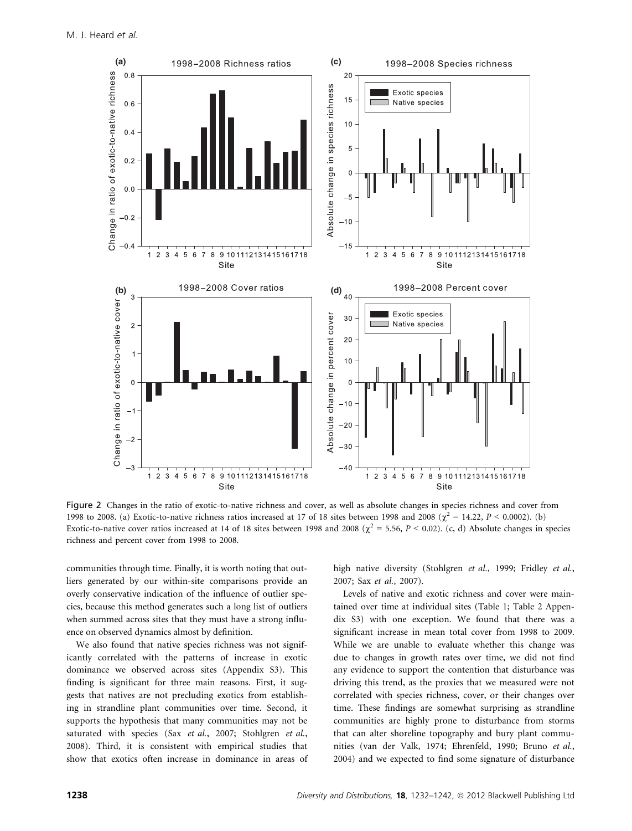

Figure 2 Changes in the ratio of exotic-to-native richness and cover, as well as absolute changes in species richness and cover from 1998 to 2008. (a) Exotic-to-native richness ratios increased at 17 of 18 sites between 1998 and 2008 ( $\chi^2 = 14.22$ ,  $P < 0.0002$ ). (b) Exotic-to-native cover ratios increased at 14 of 18 sites between 1998 and 2008 ( $\chi^2$  = 5.56, P < 0.02). (c, d) Absolute changes in species richness and percent cover from 1998 to 2008.

communities through time. Finally, it is worth noting that outliers generated by our within-site comparisons provide an overly conservative indication of the influence of outlier species, because this method generates such a long list of outliers when summed across sites that they must have a strong influence on observed dynamics almost by definition.

We also found that native species richness was not significantly correlated with the patterns of increase in exotic dominance we observed across sites (Appendix S3). This finding is significant for three main reasons. First, it suggests that natives are not precluding exotics from establishing in strandline plant communities over time. Second, it supports the hypothesis that many communities may not be saturated with species (Sax et al., 2007; Stohlgren et al., 2008). Third, it is consistent with empirical studies that show that exotics often increase in dominance in areas of high native diversity (Stohlgren et al., 1999; Fridley et al., 2007; Sax et al., 2007).

Levels of native and exotic richness and cover were maintained over time at individual sites (Table 1; Table 2 Appendix S3) with one exception. We found that there was a significant increase in mean total cover from 1998 to 2009. While we are unable to evaluate whether this change was due to changes in growth rates over time, we did not find any evidence to support the contention that disturbance was driving this trend, as the proxies that we measured were not correlated with species richness, cover, or their changes over time. These findings are somewhat surprising as strandline communities are highly prone to disturbance from storms that can alter shoreline topography and bury plant communities (van der Valk, 1974; Ehrenfeld, 1990; Bruno et al., 2004) and we expected to find some signature of disturbance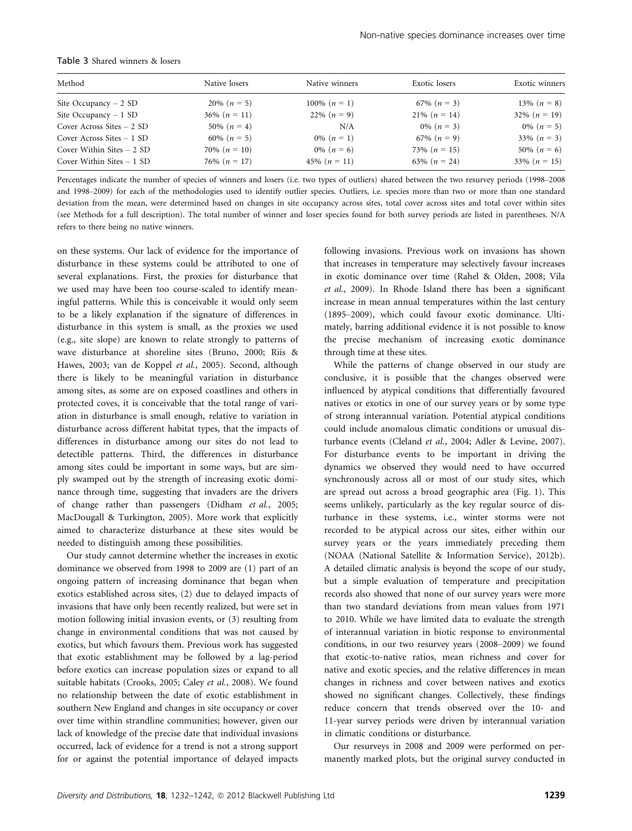| Method                     | Native losers    | Native winners  | Exotic losers   | Exotic winners  |
|----------------------------|------------------|-----------------|-----------------|-----------------|
| Site Occupancy $-2$ SD     | $20\%$ $(n = 5)$ | $100\% (n = 1)$ | 67\% $(n = 3)$  | 13\% $(n = 8)$  |
| Site Occupancy $-1$ SD     | $36\% (n = 11)$  | $22\% (n = 9)$  | $21\% (n = 14)$ | $32\% (n = 19)$ |
| Cover Across Sites $-2$ SD | 50\% $(n = 4)$   | N/A             | 0\% $(n = 3)$   | 0\% $(n = 5)$   |
| Cover Across Sites $-1$ SD | 60\% $(n = 5)$   | 0\% $(n = 1)$   | 67\% $(n = 9)$  | $33\% (n = 3)$  |
| Cover Within Sites $-2$ SD | 70\% $(n = 10)$  | 0\% $(n = 6)$   | 73\% $(n = 15)$ | 50\% $(n = 6)$  |
| Cover Within Sites $-1$ SD | $76\% (n = 17)$  | 45\% $(n = 11)$ | 63\% $(n = 24)$ | $33\% (n = 15)$ |

Table 3 Shared winners & losers

Percentages indicate the number of species of winners and losers (i.e. two types of outliers) shared between the two resurvey periods (1998–2008 and 1998–2009) for each of the methodologies used to identify outlier species. Outliers, i.e. species more than two or more than one standard deviation from the mean, were determined based on changes in site occupancy across sites, total cover across sites and total cover within sites (see Methods for a full description). The total number of winner and loser species found for both survey periods are listed in parentheses. N/A refers to there being no native winners.

on these systems. Our lack of evidence for the importance of disturbance in these systems could be attributed to one of several explanations. First, the proxies for disturbance that we used may have been too course-scaled to identify meaningful patterns. While this is conceivable it would only seem to be a likely explanation if the signature of differences in disturbance in this system is small, as the proxies we used (e.g., site slope) are known to relate strongly to patterns of wave disturbance at shoreline sites (Bruno, 2000; Riis & Hawes, 2003; van de Koppel et al., 2005). Second, although there is likely to be meaningful variation in disturbance among sites, as some are on exposed coastlines and others in protected coves, it is conceivable that the total range of variation in disturbance is small enough, relative to variation in disturbance across different habitat types, that the impacts of differences in disturbance among our sites do not lead to detectible patterns. Third, the differences in disturbance among sites could be important in some ways, but are simply swamped out by the strength of increasing exotic dominance through time, suggesting that invaders are the drivers of change rather than passengers (Didham et al., 2005; MacDougall & Turkington, 2005). More work that explicitly aimed to characterize disturbance at these sites would be needed to distinguish among these possibilities.

Our study cannot determine whether the increases in exotic dominance we observed from 1998 to 2009 are (1) part of an ongoing pattern of increasing dominance that began when exotics established across sites, (2) due to delayed impacts of invasions that have only been recently realized, but were set in motion following initial invasion events, or (3) resulting from change in environmental conditions that was not caused by exotics, but which favours them. Previous work has suggested that exotic establishment may be followed by a lag-period before exotics can increase population sizes or expand to all suitable habitats (Crooks, 2005; Caley et al., 2008). We found no relationship between the date of exotic establishment in southern New England and changes in site occupancy or cover over time within strandline communities; however, given our lack of knowledge of the precise date that individual invasions occurred, lack of evidence for a trend is not a strong support for or against the potential importance of delayed impacts following invasions. Previous work on invasions has shown that increases in temperature may selectively favour increases in exotic dominance over time (Rahel & Olden, 2008; Vila et al., 2009). In Rhode Island there has been a significant increase in mean annual temperatures within the last century (1895–2009), which could favour exotic dominance. Ultimately, barring additional evidence it is not possible to know the precise mechanism of increasing exotic dominance through time at these sites.

While the patterns of change observed in our study are conclusive, it is possible that the changes observed were influenced by atypical conditions that differentially favoured natives or exotics in one of our survey years or by some type of strong interannual variation. Potential atypical conditions could include anomalous climatic conditions or unusual disturbance events (Cleland et al., 2004; Adler & Levine, 2007). For disturbance events to be important in driving the dynamics we observed they would need to have occurred synchronously across all or most of our study sites, which are spread out across a broad geographic area (Fig. 1). This seems unlikely, particularly as the key regular source of disturbance in these systems, i.e., winter storms were not recorded to be atypical across our sites, either within our survey years or the years immediately preceding them (NOAA (National Satellite & Information Service), 2012b). A detailed climatic analysis is beyond the scope of our study, but a simple evaluation of temperature and precipitation records also showed that none of our survey years were more than two standard deviations from mean values from 1971 to 2010. While we have limited data to evaluate the strength of interannual variation in biotic response to environmental conditions, in our two resurvey years (2008–2009) we found that exotic-to-native ratios, mean richness and cover for native and exotic species, and the relative differences in mean changes in richness and cover between natives and exotics showed no significant changes. Collectively, these findings reduce concern that trends observed over the 10- and 11-year survey periods were driven by interannual variation in climatic conditions or disturbance.

Our resurveys in 2008 and 2009 were performed on permanently marked plots, but the original survey conducted in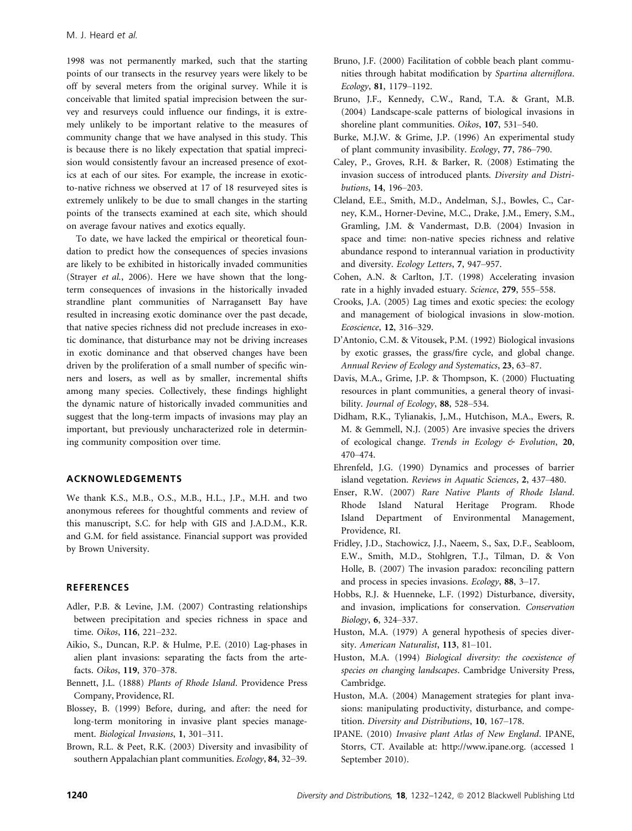1998 was not permanently marked, such that the starting points of our transects in the resurvey years were likely to be off by several meters from the original survey. While it is conceivable that limited spatial imprecision between the survey and resurveys could influence our findings, it is extremely unlikely to be important relative to the measures of community change that we have analysed in this study. This is because there is no likely expectation that spatial imprecision would consistently favour an increased presence of exotics at each of our sites. For example, the increase in exoticto-native richness we observed at 17 of 18 resurveyed sites is extremely unlikely to be due to small changes in the starting points of the transects examined at each site, which should on average favour natives and exotics equally.

To date, we have lacked the empirical or theoretical foundation to predict how the consequences of species invasions are likely to be exhibited in historically invaded communities (Strayer et al., 2006). Here we have shown that the longterm consequences of invasions in the historically invaded strandline plant communities of Narragansett Bay have resulted in increasing exotic dominance over the past decade, that native species richness did not preclude increases in exotic dominance, that disturbance may not be driving increases in exotic dominance and that observed changes have been driven by the proliferation of a small number of specific winners and losers, as well as by smaller, incremental shifts among many species. Collectively, these findings highlight the dynamic nature of historically invaded communities and suggest that the long-term impacts of invasions may play an important, but previously uncharacterized role in determining community composition over time.

#### ACKNOWLEDGEMENTS

We thank K.S., M.B., O.S., M.B., H.L., J.P., M.H. and two anonymous referees for thoughtful comments and review of this manuscript, S.C. for help with GIS and J.A.D.M., K.R. and G.M. for field assistance. Financial support was provided by Brown University.

#### **REFERENCES**

- Adler, P.B. & Levine, J.M. (2007) Contrasting relationships between precipitation and species richness in space and time. Oikos, 116, 221–232.
- Aikio, S., Duncan, R.P. & Hulme, P.E. (2010) Lag-phases in alien plant invasions: separating the facts from the artefacts. Oikos, 119, 370–378.
- Bennett, J.L. (1888) Plants of Rhode Island. Providence Press Company, Providence, RI.
- Blossey, B. (1999) Before, during, and after: the need for long-term monitoring in invasive plant species management. Biological Invasions, 1, 301–311.
- Brown, R.L. & Peet, R.K. (2003) Diversity and invasibility of southern Appalachian plant communities. Ecology, 84, 32–39.
- Bruno, I.F. (2000) Facilitation of cobble beach plant communities through habitat modification by Spartina alterniflora. Ecology, 81, 1179–1192.
- Bruno, J.F., Kennedy, C.W., Rand, T.A. & Grant, M.B. (2004) Landscape-scale patterns of biological invasions in shoreline plant communities. Oikos, 107, 531–540.
- Burke, M.J.W. & Grime, J.P. (1996) An experimental study of plant community invasibility. Ecology, 77, 786–790.
- Caley, P., Groves, R.H. & Barker, R. (2008) Estimating the invasion success of introduced plants. Diversity and Distributions, 14, 196–203.
- Cleland, E.E., Smith, M.D., Andelman, S.J., Bowles, C., Carney, K.M., Horner-Devine, M.C., Drake, J.M., Emery, S.M., Gramling, J.M. & Vandermast, D.B. (2004) Invasion in space and time: non-native species richness and relative abundance respond to interannual variation in productivity and diversity. Ecology Letters, 7, 947–957.
- Cohen, A.N. & Carlton, J.T. (1998) Accelerating invasion rate in a highly invaded estuary. Science, 279, 555–558.
- Crooks, J.A. (2005) Lag times and exotic species: the ecology and management of biological invasions in slow-motion. Ecoscience, 12, 316–329.
- D'Antonio, C.M. & Vitousek, P.M. (1992) Biological invasions by exotic grasses, the grass/fire cycle, and global change. Annual Review of Ecology and Systematics, 23, 63–87.
- Davis, M.A., Grime, J.P. & Thompson, K. (2000) Fluctuating resources in plant communities, a general theory of invasibility. Journal of Ecology, 88, 528-534.
- Didham, R.K., Tylianakis, J,.M., Hutchison, M.A., Ewers, R. M. & Gemmell, N.J. (2005) Are invasive species the drivers of ecological change. Trends in Ecology & Evolution, 20, 470–474.
- Ehrenfeld, J.G. (1990) Dynamics and processes of barrier island vegetation. Reviews in Aquatic Sciences, 2, 437–480.
- Enser, R.W. (2007) Rare Native Plants of Rhode Island. Rhode Island Natural Heritage Program. Rhode Island Department of Environmental Management, Providence, RI.
- Fridley, J.D., Stachowicz, J.J., Naeem, S., Sax, D.F., Seabloom, E.W., Smith, M.D., Stohlgren, T.J., Tilman, D. & Von Holle, B. (2007) The invasion paradox: reconciling pattern and process in species invasions. Ecology, 88, 3–17.
- Hobbs, R.J. & Huenneke, L.F. (1992) Disturbance, diversity, and invasion, implications for conservation. Conservation Biology, 6, 324–337.
- Huston, M.A. (1979) A general hypothesis of species diversity. American Naturalist, 113, 81–101.
- Huston, M.A. (1994) Biological diversity: the coexistence of species on changing landscapes. Cambridge University Press, Cambridge.
- Huston, M.A. (2004) Management strategies for plant invasions: manipulating productivity, disturbance, and competition. Diversity and Distributions, 10, 167–178.
- IPANE. (2010) Invasive plant Atlas of New England. IPANE, Storrs, CT. Available at: http://www.ipane.org. (accessed 1 September 2010).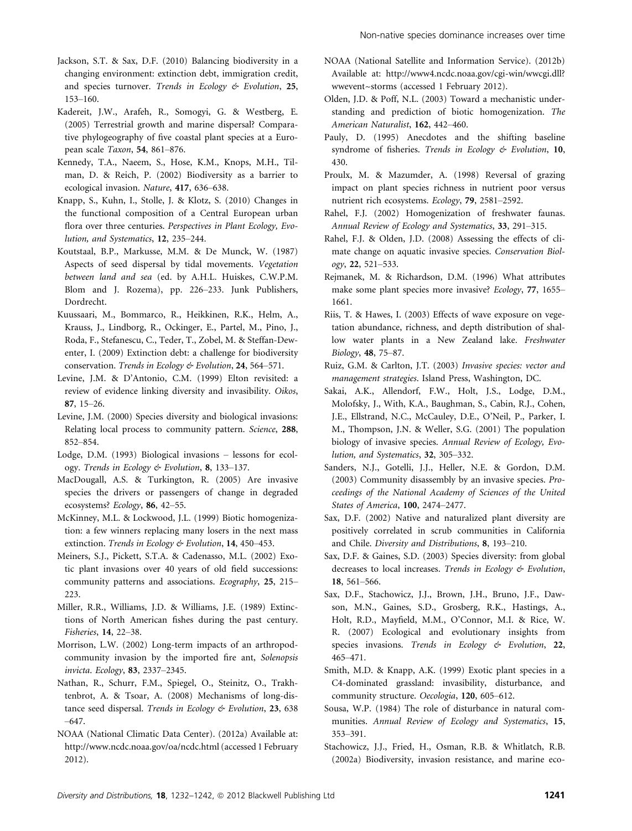- Jackson, S.T. & Sax, D.F. (2010) Balancing biodiversity in a changing environment: extinction debt, immigration credit, and species turnover. Trends in Ecology  $\mathfrak{G}$  Evolution, 25, 153–160.
- Kadereit, J.W., Arafeh, R., Somogyi, G. & Westberg, E. (2005) Terrestrial growth and marine dispersal? Comparative phylogeography of five coastal plant species at a European scale Taxon, 54, 861–876.
- Kennedy, T.A., Naeem, S., Hose, K.M., Knops, M.H., Tilman, D. & Reich, P. (2002) Biodiversity as a barrier to ecological invasion. Nature, 417, 636–638.
- Knapp, S., Kuhn, I., Stolle, J. & Klotz, S. (2010) Changes in the functional composition of a Central European urban flora over three centuries. Perspectives in Plant Ecology, Evolution, and Systematics, 12, 235–244.
- Koutstaal, B.P., Markusse, M.M. & De Munck, W. (1987) Aspects of seed dispersal by tidal movements. Vegetation between land and sea (ed. by A.H.L. Huiskes, C.W.P.M. Blom and J. Rozema), pp. 226–233. Junk Publishers, Dordrecht.
- Kuussaari, M., Bommarco, R., Heikkinen, R.K., Helm, A., Krauss, J., Lindborg, R., Ockinger, E., Partel, M., Pino, J., Roda, F., Stefanescu, C., Teder, T., Zobel, M. & Steffan-Dewenter, I. (2009) Extinction debt: a challenge for biodiversity conservation. Trends in Ecology & Evolution, 24, 564–571.
- Levine, J.M. & D'Antonio, C.M. (1999) Elton revisited: a review of evidence linking diversity and invasibility. Oikos, 87, 15–26.
- Levine, J.M. (2000) Species diversity and biological invasions: Relating local process to community pattern. Science, 288, 852–854.
- Lodge, D.M. (1993) Biological invasions lessons for ecology. Trends in Ecology & Evolution, 8, 133–137.
- MacDougall, A.S. & Turkington, R. (2005) Are invasive species the drivers or passengers of change in degraded ecosystems? Ecology, 86, 42–55.
- McKinney, M.L. & Lockwood, J.L. (1999) Biotic homogenization: a few winners replacing many losers in the next mass extinction. Trends in Ecology & Evolution, 14, 450-453.
- Meiners, S.J., Pickett, S.T.A. & Cadenasso, M.L. (2002) Exotic plant invasions over 40 years of old field successions: community patterns and associations. Ecography, 25, 215– 223.
- Miller, R.R., Williams, J.D. & Williams, J.E. (1989) Extinctions of North American fishes during the past century. Fisheries, 14, 22–38.
- Morrison, L.W. (2002) Long-term impacts of an arthropodcommunity invasion by the imported fire ant, Solenopsis invicta. Ecology, 83, 2337–2345.
- Nathan, R., Schurr, F.M., Spiegel, O., Steinitz, O., Trakhtenbrot, A. & Tsoar, A. (2008) Mechanisms of long-distance seed dispersal. Trends in Ecology & Evolution, 23, 638 –647.
- NOAA (National Climatic Data Center). (2012a) Available at: http://www.ncdc.noaa.gov/oa/ncdc.html (accessed 1 February 2012).
- NOAA (National Satellite and Information Service). (2012b) Available at: http://www4.ncdc.noaa.gov/cgi-win/wwcgi.dll? wwevent~storms (accessed 1 February 2012).
- Olden, J.D. & Poff, N.L. (2003) Toward a mechanistic understanding and prediction of biotic homogenization. The American Naturalist, 162, 442–460.
- Pauly, D. (1995) Anecdotes and the shifting baseline syndrome of fisheries. Trends in Ecology & Evolution, 10, 430.
- Proulx, M. & Mazumder, A. (1998) Reversal of grazing impact on plant species richness in nutrient poor versus nutrient rich ecosystems. Ecology, 79, 2581–2592.
- Rahel, F.J. (2002) Homogenization of freshwater faunas. Annual Review of Ecology and Systematics, 33, 291–315.
- Rahel, F.J. & Olden, J.D. (2008) Assessing the effects of climate change on aquatic invasive species. Conservation Biology, 22, 521–533.
- Rejmanek, M. & Richardson, D.M. (1996) What attributes make some plant species more invasive? Ecology, 77, 1655– 1661.
- Riis, T. & Hawes, I. (2003) Effects of wave exposure on vegetation abundance, richness, and depth distribution of shallow water plants in a New Zealand lake. Freshwater Biology, 48, 75–87.
- Ruiz, G.M. & Carlton, J.T. (2003) Invasive species: vector and management strategies. Island Press, Washington, DC.
- Sakai, A.K., Allendorf, F.W., Holt, J.S., Lodge, D.M., Molofsky, J., With, K.A., Baughman, S., Cabin, R.J., Cohen, J.E., Ellstrand, N.C., McCauley, D.E., O'Neil, P., Parker, I. M., Thompson, J.N. & Weller, S.G. (2001) The population biology of invasive species. Annual Review of Ecology, Evolution, and Systematics, 32, 305–332.
- Sanders, N.J., Gotelli, J.J., Heller, N.E. & Gordon, D.M. (2003) Community disassembly by an invasive species. Proceedings of the National Academy of Sciences of the United States of America, 100, 2474–2477.
- Sax, D.F. (2002) Native and naturalized plant diversity are positively correlated in scrub communities in California and Chile. Diversity and Distributions, 8, 193–210.
- Sax, D.F. & Gaines, S.D. (2003) Species diversity: from global decreases to local increases. Trends in Ecology & Evolution, 18, 561–566.
- Sax, D.F., Stachowicz, J.J., Brown, J.H., Bruno, J.F., Dawson, M.N., Gaines, S.D., Grosberg, R.K., Hastings, A., Holt, R.D., Mayfield, M.M., O'Connor, M.I. & Rice, W. R. (2007) Ecological and evolutionary insights from species invasions. Trends in Ecology & Evolution, 22, 465–471.
- Smith, M.D. & Knapp, A.K. (1999) Exotic plant species in a C4-dominated grassland: invasibility, disturbance, and community structure. Oecologia, 120, 605–612.
- Sousa, W.P. (1984) The role of disturbance in natural communities. Annual Review of Ecology and Systematics, 15, 353–391.
- Stachowicz, J.J., Fried, H., Osman, R.B. & Whitlatch, R.B. (2002a) Biodiversity, invasion resistance, and marine eco-